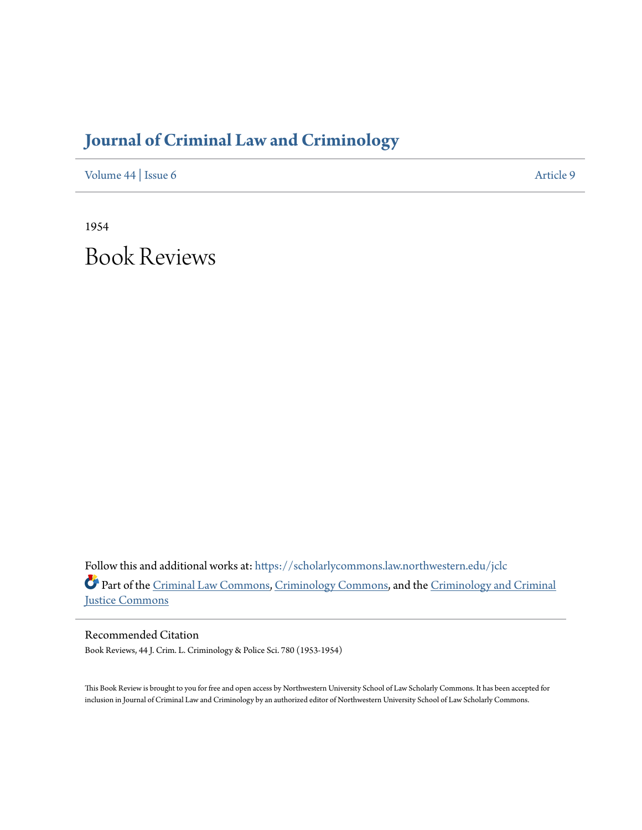## **[Journal of Criminal Law and Criminology](https://scholarlycommons.law.northwestern.edu/jclc?utm_source=scholarlycommons.law.northwestern.edu%2Fjclc%2Fvol44%2Fiss6%2F9&utm_medium=PDF&utm_campaign=PDFCoverPages)**

[Volume 44](https://scholarlycommons.law.northwestern.edu/jclc/vol44?utm_source=scholarlycommons.law.northwestern.edu%2Fjclc%2Fvol44%2Fiss6%2F9&utm_medium=PDF&utm_campaign=PDFCoverPages) | [Issue 6](https://scholarlycommons.law.northwestern.edu/jclc/vol44/iss6?utm_source=scholarlycommons.law.northwestern.edu%2Fjclc%2Fvol44%2Fiss6%2F9&utm_medium=PDF&utm_campaign=PDFCoverPages) [Article 9](https://scholarlycommons.law.northwestern.edu/jclc/vol44/iss6/9?utm_source=scholarlycommons.law.northwestern.edu%2Fjclc%2Fvol44%2Fiss6%2F9&utm_medium=PDF&utm_campaign=PDFCoverPages)

1954 Book Reviews

Follow this and additional works at: [https://scholarlycommons.law.northwestern.edu/jclc](https://scholarlycommons.law.northwestern.edu/jclc?utm_source=scholarlycommons.law.northwestern.edu%2Fjclc%2Fvol44%2Fiss6%2F9&utm_medium=PDF&utm_campaign=PDFCoverPages) Part of the [Criminal Law Commons](http://network.bepress.com/hgg/discipline/912?utm_source=scholarlycommons.law.northwestern.edu%2Fjclc%2Fvol44%2Fiss6%2F9&utm_medium=PDF&utm_campaign=PDFCoverPages), [Criminology Commons](http://network.bepress.com/hgg/discipline/417?utm_source=scholarlycommons.law.northwestern.edu%2Fjclc%2Fvol44%2Fiss6%2F9&utm_medium=PDF&utm_campaign=PDFCoverPages), and the [Criminology and Criminal](http://network.bepress.com/hgg/discipline/367?utm_source=scholarlycommons.law.northwestern.edu%2Fjclc%2Fvol44%2Fiss6%2F9&utm_medium=PDF&utm_campaign=PDFCoverPages) [Justice Commons](http://network.bepress.com/hgg/discipline/367?utm_source=scholarlycommons.law.northwestern.edu%2Fjclc%2Fvol44%2Fiss6%2F9&utm_medium=PDF&utm_campaign=PDFCoverPages)

Recommended Citation Book Reviews, 44 J. Crim. L. Criminology & Police Sci. 780 (1953-1954)

This Book Review is brought to you for free and open access by Northwestern University School of Law Scholarly Commons. It has been accepted for inclusion in Journal of Criminal Law and Criminology by an authorized editor of Northwestern University School of Law Scholarly Commons.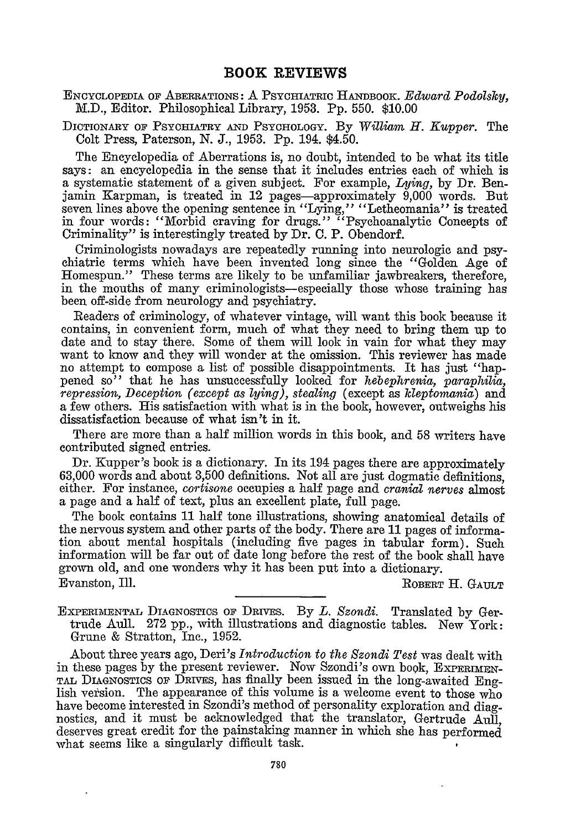ENCYCLOPEDIA OF ABERRATIONS: **A** PSYCHIATRIC HANDBOOK. *Edward Podolsky,* M.D., Editor. Philosophical Library, **1953. Pp. 550. \$10.00**

DICTIONARY OF PSYCHIATRY AND PSYCHOLOGY. By *William i. Kupper.* The Colt Press, Paterson, N. *J.,* 1953. Pp. 194. \$4.50.

The Encyclopedia of Aberrations is, no doubt, intended to be what its title says: an encyclopedia in the sense that it includes entries each of which is a systematic statement of a given subject. For example, *Lying,* by Dr. Benjamin Karpman, is treated in 12 pages-approximately 9,000 words. But seven lines above the opening sentence in "Lying," "Letheomania" is treated in four words: "Morbid craving for drugs." "Psychoanalytic Concepts o: Criminality" is interestingly treated by Dr. C. P. Obendorf.

Criminologists nowadays are repeatedly running into neurologic and psychiatric terms which have been invented long since the "Golden Age of Homespun." These terms are likely to be unfamiliar jawbreakers, therefore, in the mouths of many criminologists-especially those whose training has been off-side from neurology and psychiatry.

Readers of criminology, of whatever vintage, will want this book because it contains, in convenient form, much of what they need to bring them up to date and to stay there. Some of them will look in vain for what they may want to know and they will wonder at the omission. This reviewer has made no attempt to compose a list of possible disappointments. It has just "happened so" that he has unsuccessfully looked for *hebephrenia, paraphilia, repression, Deception (except as lying), stealing* (except as *kleptomania)* and a few others. His satisfaction with what is in the book, however, outweighs his dissatisfaction because of what isn't in it.

There are more than a half million words in this book, and 58 writers have contributed signed entries.

Dr. Kupper's book is a dictionary. In its 194 pages there are approximately 63,000 words and about 3,500 definitions. Not all are just dogmatic definitions, either. For instance, *cortisone* occupies a half page and *cranial nerves* almost a page and a half of text, plus an excellent plate, full page.

The book contains 11 half tone illustrations, showing anatomical details of the nervous system and other parts of the body. There are 11 pages of information about mental hospitals (including five pages in tabular form). Such information will be far out of date long before the rest of the book shall have grown old, and one wonders why it has been put into a dictionary. Evanston, Ill. **ROBERT H. GAULT** 

EXPERIMENTAL DIAGNOSTICS OF DRIVES. By *L. Szondi.* Translated by Gertrude Aull. 272 pp., with illustrations and diagnostic tables. New York: Grune & Stratton, Inc., 1952.

About three years ago, Deri's *Introduction to the Szondi Test* was dealt with in these pages by the present reviewer. Now Szondi's own book, **EXPERIMEN-**TAL DIAGNOSTICS OF DRIVES, has finally been issued in the long-awaited English version. The appearance of this volume is a welcome event to those who have become interested in Szondi's method of personality exploration and diagnostics, and it must be acknowledged that the translator, Gertrude **Aull,** deserves great credit for the painstaking manner in which she has performed what seems like a singularly difficult task.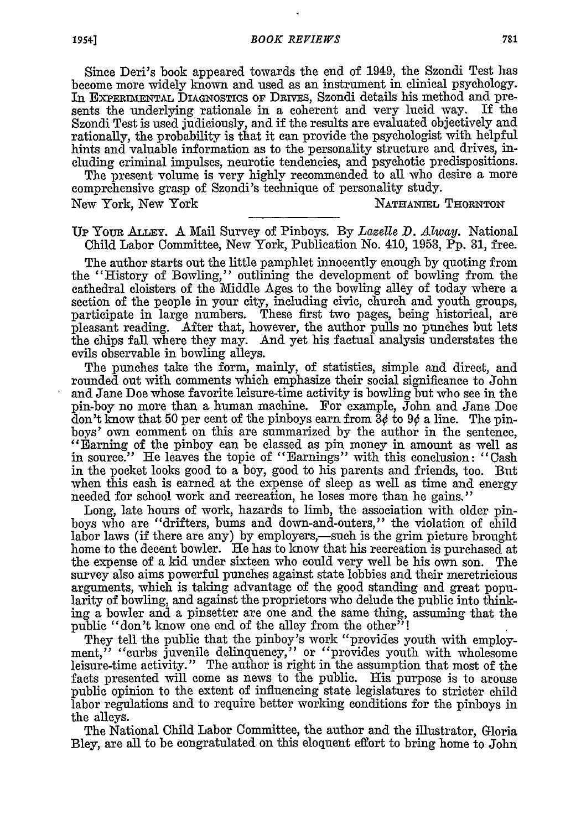Since Deri's book appeared towards the end of 1949, the Szondi Test has become more widely known and used as an instrument in clinical psychology. In Experimental Diagnostics of Drives, Szondi details his method and presents the underlying rationale in a coherent and very lucid way. If the sents the underlying rationale in a coherent and very lucid way. Szondi Test is used judiciously, and if the results are evaluated objectively and rationally, the probability is that it can provide the psychologist with helpful hints and valuable information as to the personality structure and drives, ineluding criminal impulses, neurotic tendencies, and psychotic predispositions.

The present volume is very highly recommended to all who desire a more comprehensive grasp of Szondi's technique of personality study. New York, New York Nathaniel Thornton

**Up** YouR ALLEY. A Mail Survey of Pinboys. By *Lazelle D. Alway.* National Child Labor Committee, New York, Publication No. 410, 1953, Pp. 31, free.

The author starts out the little pamphlet innocently enough by quoting from the "History of Bowling," outlining the development of bowling from the cathedral cloisters of the Middle Ages to the bowling alley of today where a section of the people in your city, including civic, church and youth groups, participate in large numbers. These first two pages, being historical, are pleasant reading. After that, however, the author pulls no punches but lets the chips fall where they may. And yet his factual analysis understates the evils observable in bowling alleys.

The punches take the form, mainly, of statistics, simple and direct, and rounded out with comments which emphasize their social significance to John and Jane Doe whose favorite leisure-time activity is bowling but who see in the pin-boy no more than a human machine. For example, John and Jane Doe don't know that 50 per cent of the pinboys earn from  $3\phi$  to  $9\phi$  a line. The pinboys' own comment on this are summarized by the author in the sentence, "Earning of the pinboy can be classed as pin money in amount as well as in source." He leaves the topic of "Earnings" with this conclusion: "Cash in the pocket looks good to a boy, good to his parents and friends, too. But when this cash is earned at the expense of sleep as well as time and energy needed for school work and recreation, he loses more than he gains."

Long, late hours of work, hazards to limb, the association with older pinboys who are "drifters, bums and down-and-outers," the violation of child labor laws (if there are any) by employers,—such is the grim picture brought home to the decent bowler. He has to know that his recreation is purchased at the expense of a kid under sixteen who could very well be his own son. The survey also aims powerful punches against state lobbies and their meretricious arguments, which is taking advantage of the good standing and great popularity of bowling, and against the proprietors who delude the public into thinking a bowler and a pinsetter are one and the same thing, assuming that the public "don't know one end of the alley from the other"!

They tell the public that the pinboy's work "provides youth with employment," "curbs juvenile delinquency," or "provides youth with wholesome leisure-time activity." The author is right in the assumption that most of the facts presented will come as news to the public. His purpose is to arouse public opinion to the extent of influencing state legislatures to stricter child labor regulations and to require better working conditions for the pinboys in the alleys.

The National Child Labor Committee, the author and the illustrator, Gloria Bley, are all to be congratulated on this eloquent effort to bring home to John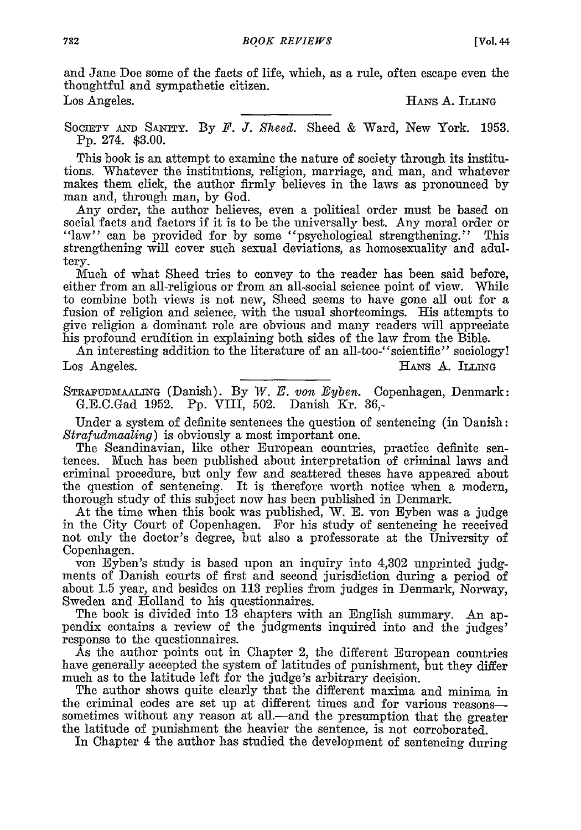**[Vol. 44**

and Jane Doe some of the facts of life, which, as a rule, often escape even the thoughtful and sympathetic citizen. Los Angeles. HANS **A.** ILLiNG

SOCIETY AND SANITY. By F. J. Sheed. Sheed & Ward, New York. 1953. Pp. 274. \$3.00.

This book is an attempt to examine the nature of society through its institutions. Whatever the institutions, religion, marriage, and man, and whatever makes them click, the author firmly believes in the laws as pronounced by man and, through man, by God.

Any order, the author believes, even a political order must be based on social facts and factors if it is to be the universally best. Any moral order or "law" can be provided for by some "psychological strengthening." This strengthening will cover such sexual deviations, as homosexuality and adultery.

Much of what Sheed tries to convey to the reader has been said before, either from an all-religious or from an all-social science point of view. While to combine both views is not new, Sheed seems to have gone all out for a fusion of religion and science, with the usual shortcomings. His attempts to give religion a dominant role are obvious and many readers will appreciate his profound erudition in explaining both sides of the law from the Bible.

An interesting addition to the literature of an all-too-" scientific" sociology! Los Angeles. HANS A. ILLING

**STRAFUDMAALING** (Danish). By *W. E. von Eyben.* Copenhagen, Denmark: G.E.C.Gad 1952. Pp. VIII, 502. Danish Kr. 36,-

Under a system of definite sentences the question of sentencing (in Danish: *Strafudmaaling)* is obviously a most important one.

The Scandinavian, like other European countries, practice definite sentences. Much has been published about interpretation of criminal laws and criminal procedure, but only few and scattered theses have appeared about the question of sentencing. It is therefore worth notice when a modern, thorough study of this subject now has been published in Denmark.

At the time when this book was published, W. E. von Eyben was a judge in the City Court of Copenhagen. For his study of sentencing he received not only the doctor's degree, but also a professorate at the University of Copenhagen.

von Eyben's study is based upon an inquiry into 4,302 unprinted judgments of Danish courts of first and second jurisdiction during a period of about 1.5 year, and besides on 113 replies from judges in Denmark, Norway, Sweden and Holland to his questionnaires.

The book is divided into 13 chapters with an English summary. An appendix contains a review of the judgments inquired into and the judges' response to the questionnaires.

As the author points out in Chapter 2, the different European countries have generally accepted the system of latitudes of punishment, but they differ much as to the latitude left for the judge's arbitrary decision.

The author shows quite clearly that the different maxima and minima in the criminal codes are set up at different times and for various reasonssometimes without any reason at all.-and the presumption that the greater the latitude of punishment the heavier the sentence, is not corroborated.

In Chapter 4 the author has studied the development of sentencing during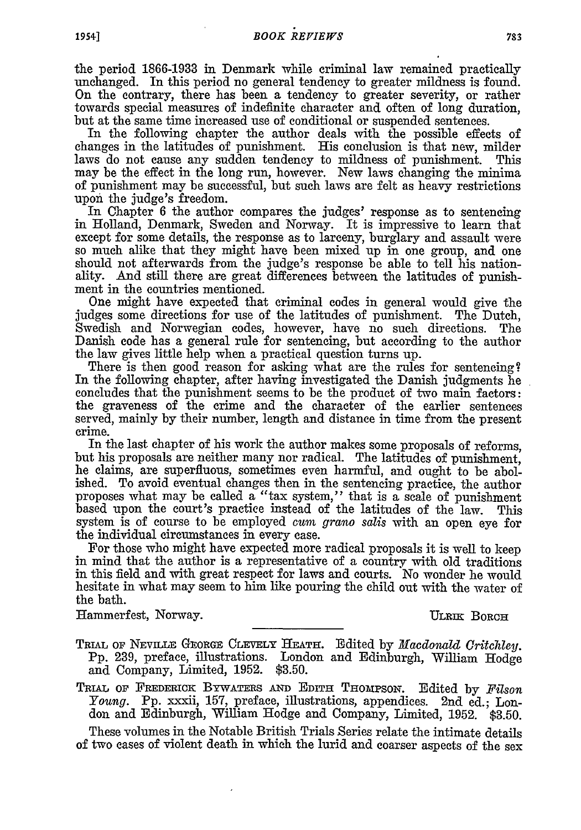the period 1866-1933 in Denmark while criminal law remained practically unchanged. In this period no general tendency to greater mildness is found. On the contrary, there has been a tendency to greater severity, or rather towards special measures of indefinite character and often of long duration, but at the same time increased use of conditional or suspended sentences.

In the following chapter the author deals with the possible effects of changes in the latitudes of punishment. His conclusion is that new, milder laws do not cause any sudden tendency to mildness of punishment. This may be the effect in the long run, however. New laws changing the minima of punishment may be successful, but such laws are felt as heavy restrictions upon the judge's freedom.

In Chapter 6 the author compares the judges' response as to sentencing in Holland, Denmark, Sweden and Norway. It is impressive to learn that except for some details, the response as to larceny, burglary and assault were so much alike that they might have been mixed up in one group, and one should not afterwards from the judge's response be able to tell his nationality. And still there are great differences between the latitudes of punishment in the countries mentioned.

One might have expected that criminal codes in general would give the judges some directions for use of the latitudes of punishment. The Dutch, Swedish and Norwegian codes, however, have no such directions. The Danish code has a general rule for sentencing, but according to the author the law gives little help when a practical question turns up. There is then good reason for asking what are the rules for sentencing?

In the following chapter, after having investigated the Danish judgments he concludes that the punishment seems to be the product of two main factors: the graveness of the crime and the character of the earlier sentences served, mainly by their number, length and distance in time from the present crime.

In the last chapter of his work the author makes some proposals of reforms, but his proposals are neither many nor radical. The latitudes of punishment, he claims, are superfluous, sometimes even harmful, and ought to be abolished. To avoid eventual changes then in the sentencing practice, the author proposes what may be called a "tax system," that is a scale of punishment based upon the court's practice instead of the latitudes of the law. This system is of course to be employed *curn grano salis* with an open eye for the individual circumstances in every case.

For those who might have expected more radical proposals it is well to keep in mind that the author is a representative of a country with old traditions in this field and with great respect for laws and courts. No wonder he would hesitate in what may seem to him like pouring the child out with the water of the bath.

Hammerfest, Norway. The contraction of the ULRIK BORCH

TRIAL OF NEVILLE GEORGE CLEVELY HEATH. Edited by *Macdonald Critchley*. Pp. 239, preface, illustrations. London and Edinburgh, William Hodge and Company, Limited, 1952. \$3.50.

TRIAL OF FREDERICK BYWATERS AND EDITH THOMPSON. Edited by Filson *Young.* **Pp.** xxxii, **157,** preface, illustrations, appendices. 2nd ed.; London and Edinburgh, William Hodge and Company, Limited, **1952. \$3.50.**

These volumes in the Notable British Trials Series relate the intimate details of two cases of violent death in which the lurid and coarser aspects of the sex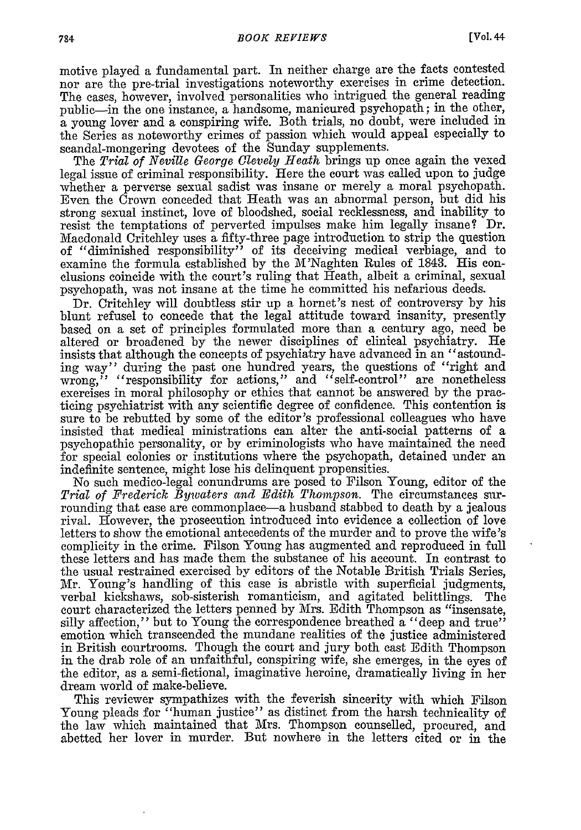motive played a fundamental part. In neither charge are the facts contested nor are the pre-trial investigations noteworthy exercises in crime detection. The cases, however, involved personalities who intrigued the general reading public-in the one instance, a handsome, manicured psychopath; in the other, a young lover and a conspiring wife. Both trials, no doubt, were included in the Series as noteworthy crimes of passion which would appeal especially to scandal-mongering devotees of the Sunday supplements.

The *Trial of Neville George Clevely Heath* brings up once again the vexed legal issue of criminal responsibility. Here the court was called upon to judge whether a perverse sexual sadist was insane or merely a moral psychopath. Even the Crown conceded that Heath was an abnormal person, but did his strong sexual instinct, love of bloodshed, social recklessness, and inability to resist the temptations of perverted impulses make him legally insane? Dr. Macdonald Critchley uses a fifty-three page introduction to strip the question of "diminished responsibility" of its deceiving medical verbiage, and to examine the formula established by the M'Naghten Rules of 1843. His conclusions coincide with the court's ruling that Heath, albeit a criminal, sexual psychopath, was not insane at the time he committed his nefarious deeds.

Dr. Critchley will doubtless stir up a hornet's nest of controversy by his blunt refusel to concede that the legal attitude toward insanity, presently based on a set of principles formulated more than a century ago, need be altered or broadened by the newer disciplines of clinical psychiatry. He insists that although the concepts of psychiatry have advanced in an "astounding way" during the past one hundred years, the questions of "right and wrong," "responsibility for actions," and "self-control" are nonetheless exercises in moral philosophy or ethics that cannot be answered by the practicing psychiatrist with any scientific degree of confidence. This contention is sure to be rebutted by some of the editor's professional colleagues who have insisted that medical ministrations can alter the anti-social patterns of a psychopathic personality, or by criminologists who have maintained the need for special colonies or institutions where the psychopath, detained under an indefinite sentence, might lose his delinquent propensities.

No such medico-legal conundrums are posed to Filson Young, editor of the *Trial of Frederick Bywaters and Edith Thompson.* The circumstances surrounding that case are commonplace—a husband stabbed to death by a jealous rival. However, the prosecution introduced into evidence a collection of love letters to show the emotional antecedents of the murder and to prove the wife's complicity in the crime. Filson Young has augmented and reproduced in full these letters and has made them the substance of his account. In contrast to the usual restrained exercised by editors of the Notable British Trials Series, Mr. Young's handling of this case is abristle with superficial judgments, verbal kickshaws, sob-sisterish romanticism, and agitated belittlings. The court characterized the letters penned by Mrs. Edith Thompson as "insensate, silly affection," but to Young the correspondence breathed a "deep and true" emotion which transcended the mundane realities of the justice administered in British courtrooms. Though the court and jury both cast Edith Thompson in the drab role of an unfaithful, conspiring wife, she emerges, in the eyes of the editor, as a semi-fictional, imaginative heroine, dramatically living in her dream world of make-believe.

This reviewer sympathizes with the feverish sincerity with which Filson Young pleads for "human justice" as distinct from the harsh technicality of the law which maintained that Mrs. Thompson counselled, procured, and abetted her lover in murder. But nowhere in the letters cited or in the